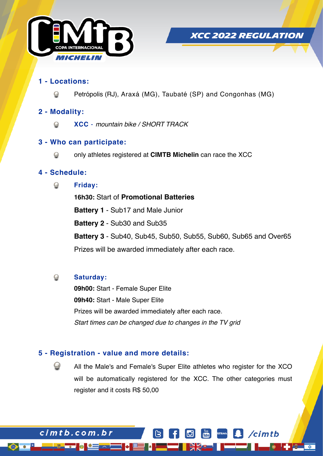



/cimtb

# **1 - Locations:**

Petrópolis (RJ), Araxá (MG), Taubaté (SP) and Congonhas (MG)

# **2 - Modality:**

**XCC** - *mountain bike / SHORT TRACK*  $\mathcal{Q}$ 

# **3 - Who can participate:**

only athletes registered at **CIMTB Michelin** can race the XCC

# **4 - Schedule:**

**Friday:**   $\bigcirc$ 

> **16h30:** Start of **Promotional Batteries Battery 1** - Sub17 and Male Junior **Battery 2** - Sub30 and Sub35 **Battery 3** - Sub40, Sub45, Sub50, Sub55, Sub60, Sub65 and Over65 Prizes will be awarded immediately after each race.

#### $\odot$ **Saturday:**

cimtb.com.br

**09h00:** Start - Female Super Elite **09h40:** Start - Male Super Elite Prizes will be awarded immediately after each race. *Start times can be changed due to changes in the TV grid*

# **5 - Registration - value and more details:**

All the Male's and Female's Super Elite athletes who register for the XCO will be automatically registered for the XCC. The other categories must register and it costs R\$ 50,00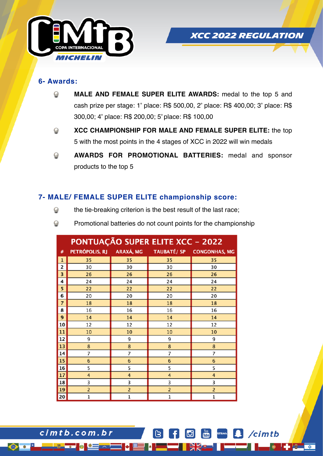

# *XCC 2022 REGULATION*

cimtb

#### **6- Awards:**

- **MALE AND FEMALE SUPER ELITE AWARDS:** medal to the top 5 and  $\bigcirc$ cash prize per stage: 1º place: R\$ 500,00, 2º place: R\$ 400,00; 3º place: R\$ 300,00; 4º place: R\$ 200,00; 5º place: R\$ 100,00
- **XCC CHAMPIONSHIP FOR MALE AND FEMALE SUPER ELITE:** the top  $\odot$ 5 with the most points in the 4 stages of XCC in 2022 will win medals
- **AWARDS FOR PROMOTIONAL BATTERIES:** medal and sponsor  $\bigcirc$ products to the top 5

# **7- MALE/ FEMALE SUPER ELITE championship score:**

- $\bigcirc$ the tie-breaking criterion is the best result of the last race;
- $\bigcirc$ Promotional batteries do not count points for the championship

|                | <b>PONTUAÇÃO SUPER ELITE XCC - 2022</b> |                |                 |                                                    |
|----------------|-----------------------------------------|----------------|-----------------|----------------------------------------------------|
| $\#$           |                                         |                |                 | PETRÓPOLIS, RJ ARAXÁ, MG TAUBATÉ/ SP CONGONHAS, MG |
| $\mathbf{1}$   | 35                                      | 35             | 35              | 35                                                 |
| 2              | 30                                      | 30             | 30              | 30                                                 |
| 3              | 26                                      | 26             | 26              | 26                                                 |
| 4              | 24                                      | 24             | 24              | 24                                                 |
| 5              | 22                                      | 22             | 22              | 22                                                 |
| 6              | 20                                      | 20             | 20              | 20                                                 |
| $\overline{7}$ | 18                                      | 18             | 18              | 18                                                 |
| 8              | 16                                      | 16             | 16              | 16                                                 |
| 9              | 14                                      | 14             | 14              | 14                                                 |
| 10             | 12                                      | 12             | 12              | 12                                                 |
| 11             | 10                                      | 10             | 10              | 10                                                 |
| 12             | 9                                       | 9              | 9               | 9                                                  |
| 13             | 8                                       | 8              | 8               | 8                                                  |
| 14             | 7                                       | 7              | 7               | 7                                                  |
| 15             | $6\phantom{1}6$                         | 6              | $6\phantom{1}6$ | 6                                                  |
| 16             | 5                                       | 5              | 5               | 5                                                  |
| 17             | 4                                       | 4              | 4               | 4                                                  |
| 18             | 3                                       | 3              | 3               | 3                                                  |
| 19             | $\overline{2}$                          | $\overline{c}$ | $\overline{2}$  | $\overline{c}$                                     |
| 20             | $\mathbf{1}$                            | $\mathbf 1$    | 1               | $\mathbf 1$                                        |

 $cimtb.com.br$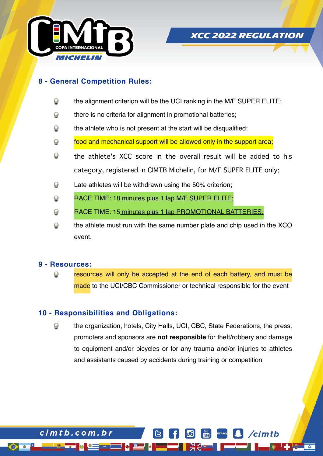



'cimtb

# **8 - General Competition Rules:**

- $\odot$ the alignment criterion will be the UCI ranking in the M/F SUPER ELITE;
- $\bigcirc$ there is no criteria for alignment in promotional batteries;
- the athlete who is not present at the start will be disqualified;  $\bigcirc$
- $\bigcirc$ food and mechanical support will be allowed only in the support area;
- $\bigodot$ the athlete's XCC score in the overall result will be added to his category, registered in CIMTB Michelin, for M/F SUPER ELITE only;
- $\odot$ Late athletes will be withdrawn using the 50% criterion;
- $\odot$ RACE TIME: 18 minutes plus 1 lap M/F SUPER ELITE;
- $\bigcirc$ RACE TIME: 15 minutes plus 1 lap PROMOTIONAL BATTERIES;
- $\bigodot$ the athlete must run with the same number plate and chip used in the XCO event.

#### **9 - Resources:**

cimtb.com.br

resources will only be accepted at the end of each battery, and must be made to the UCI/CBC Commissioner or technical responsible for the event

### **10 - Responsibilities and Obligations:**

the organization, hotels, City Halls, UCI, CBC, State Federations, the press, promoters and sponsors are **not responsible** for theft/robbery and damage to equipment and/or bicycles or for any trauma and/or injuries to athletes and assistants caused by accidents during training or competition